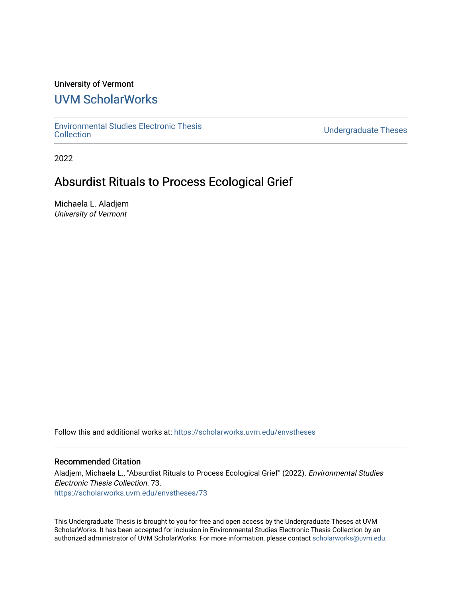## University of Vermont

# [UVM ScholarWorks](https://scholarworks.uvm.edu/)

[Environmental Studies Electronic Thesis](https://scholarworks.uvm.edu/envstheses) 

**Undergraduate Theses** 

2022

# Absurdist Rituals to Process Ecological Grief

Michaela L. Aladjem University of Vermont

Follow this and additional works at: [https://scholarworks.uvm.edu/envstheses](https://scholarworks.uvm.edu/envstheses?utm_source=scholarworks.uvm.edu%2Fenvstheses%2F73&utm_medium=PDF&utm_campaign=PDFCoverPages)

## Recommended Citation

Aladjem, Michaela L., "Absurdist Rituals to Process Ecological Grief" (2022). Environmental Studies Electronic Thesis Collection. 73. [https://scholarworks.uvm.edu/envstheses/73](https://scholarworks.uvm.edu/envstheses/73?utm_source=scholarworks.uvm.edu%2Fenvstheses%2F73&utm_medium=PDF&utm_campaign=PDFCoverPages) 

This Undergraduate Thesis is brought to you for free and open access by the Undergraduate Theses at UVM ScholarWorks. It has been accepted for inclusion in Environmental Studies Electronic Thesis Collection by an authorized administrator of UVM ScholarWorks. For more information, please contact [scholarworks@uvm.edu.](mailto:scholarworks@uvm.edu)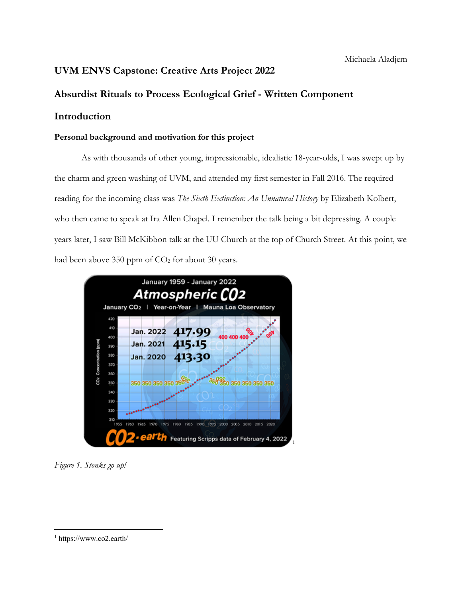## **UVM ENVS Capstone: Creative Arts Project 2022**

## **Absurdist Rituals to Process Ecological Grief - Written Component**

## **Introduction**

## **Personal background and motivation for this project**

As with thousands of other young, impressionable, idealistic 18-year-olds, I was swept up by the charm and green washing of UVM, and attended my first semester in Fall 2016. The required reading for the incoming class was *The Sixth Extinction: An Unnatural History* by Elizabeth Kolbert, who then came to speak at Ira Allen Chapel. I remember the talk being a bit depressing. A couple years later, I saw Bill McKibbon talk at the UU Church at the top of Church Street. At this point, we had been above 350 ppm of  $CO<sub>2</sub>$  for about 30 years.



*Figure 1. Stonks go up!*

<sup>1</sup> https://www.co2.earth/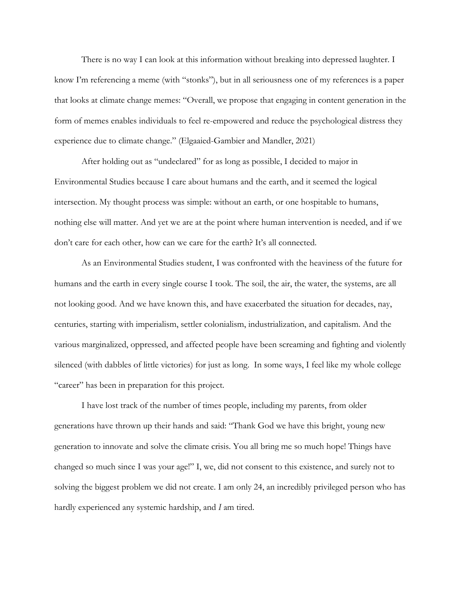There is no way I can look at this information without breaking into depressed laughter. I know I'm referencing a meme (with "stonks"), but in all seriousness one of my references is a paper that looks at climate change memes: "Overall, we propose that engaging in content generation in the form of memes enables individuals to feel re-empowered and reduce the psychological distress they experience due to climate change." (Elgaaied-Gambier and Mandler, 2021)

After holding out as "undeclared" for as long as possible, I decided to major in Environmental Studies because I care about humans and the earth, and it seemed the logical intersection. My thought process was simple: without an earth, or one hospitable to humans, nothing else will matter. And yet we are at the point where human intervention is needed, and if we don't care for each other, how can we care for the earth? It's all connected.

As an Environmental Studies student, I was confronted with the heaviness of the future for humans and the earth in every single course I took. The soil, the air, the water, the systems, are all not looking good. And we have known this, and have exacerbated the situation for decades, nay, centuries, starting with imperialism, settler colonialism, industrialization, and capitalism. And the various marginalized, oppressed, and affected people have been screaming and fighting and violently silenced (with dabbles of little victories) for just as long. In some ways, I feel like my whole college "career" has been in preparation for this project.

I have lost track of the number of times people, including my parents, from older generations have thrown up their hands and said: "Thank God we have this bright, young new generation to innovate and solve the climate crisis. You all bring me so much hope! Things have changed so much since I was your age!" I, we, did not consent to this existence, and surely not to solving the biggest problem we did not create. I am only 24, an incredibly privileged person who has hardly experienced any systemic hardship, and *I* am tired.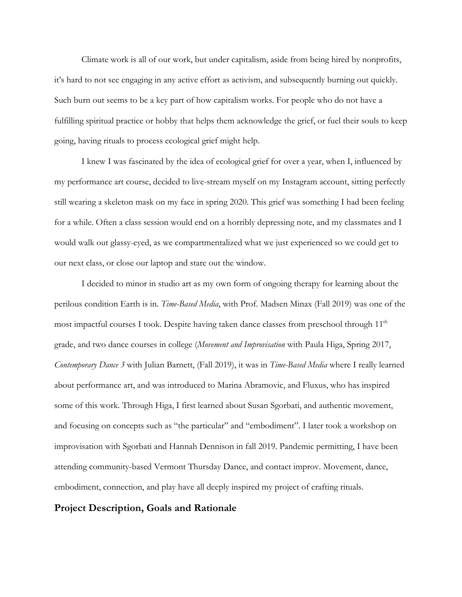Climate work is all of our work, but under capitalism, aside from being hired by nonprofits, it's hard to not see engaging in any active effort as activism, and subsequently burning out quickly. Such burn out seems to be a key part of how capitalism works. For people who do not have a fulfilling spiritual practice or hobby that helps them acknowledge the grief, or fuel their souls to keep going, having rituals to process ecological grief might help.

I knew I was fascinated by the idea of ecological grief for over a year, when I, influenced by my performance art course, decided to live-stream myself on my Instagram account, sitting perfectly still wearing a skeleton mask on my face in spring 2020. This grief was something I had been feeling for a while. Often a class session would end on a horribly depressing note, and my classmates and I would walk out glassy-eyed, as we compartmentalized what we just experienced so we could get to our next class, or close our laptop and stare out the window.

I decided to minor in studio art as my own form of ongoing therapy for learning about the perilous condition Earth is in. *Time-Based Media*, with Prof. Madsen Minax (Fall 2019) was one of the most impactful courses I took. Despite having taken dance classes from preschool through  $11<sup>th</sup>$ grade, and two dance courses in college (*Movement and Improvisation* with Paula Higa, Spring 2017, *Contemporary Dance 3* with Julian Barnett, (Fall 2019), it was in *Time-Based Media* where I really learned about performance art, and was introduced to Marina Abramovic, and Fluxus, who has inspired some of this work. Through Higa, I first learned about Susan Sgorbati, and authentic movement, and focusing on concepts such as "the particular" and "embodiment". I later took a workshop on improvisation with Sgorbati and Hannah Dennison in fall 2019. Pandemic permitting, I have been attending community-based Vermont Thursday Dance, and contact improv. Movement, dance, embodiment, connection, and play have all deeply inspired my project of crafting rituals.

## **Project Description, Goals and Rationale**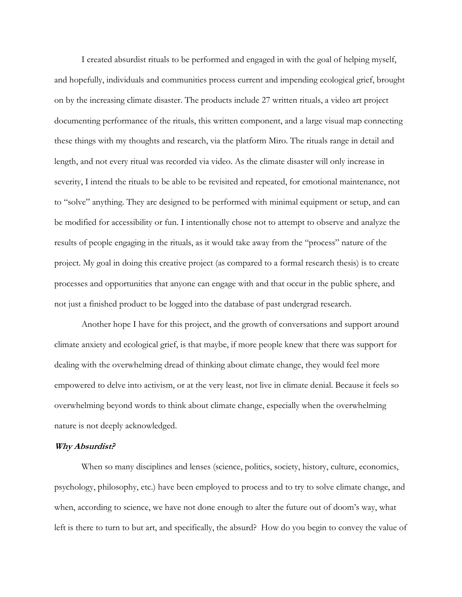I created absurdist rituals to be performed and engaged in with the goal of helping myself, and hopefully, individuals and communities process current and impending ecological grief, brought on by the increasing climate disaster. The products include 27 written rituals, a video art project documenting performance of the rituals, this written component, and a large visual map connecting these things with my thoughts and research, via the platform Miro. The rituals range in detail and length, and not every ritual was recorded via video. As the climate disaster will only increase in severity, I intend the rituals to be able to be revisited and repeated, for emotional maintenance, not to "solve" anything. They are designed to be performed with minimal equipment or setup, and can be modified for accessibility or fun. I intentionally chose not to attempt to observe and analyze the results of people engaging in the rituals, as it would take away from the "process" nature of the project. My goal in doing this creative project (as compared to a formal research thesis) is to create processes and opportunities that anyone can engage with and that occur in the public sphere, and not just a finished product to be logged into the database of past undergrad research.

Another hope I have for this project, and the growth of conversations and support around climate anxiety and ecological grief, is that maybe, if more people knew that there was support for dealing with the overwhelming dread of thinking about climate change, they would feel more empowered to delve into activism, or at the very least, not live in climate denial. Because it feels so overwhelming beyond words to think about climate change, especially when the overwhelming nature is not deeply acknowledged.

### **Why Absurdist?**

When so many disciplines and lenses (science, politics, society, history, culture, economics, psychology, philosophy, etc.) have been employed to process and to try to solve climate change, and when, according to science, we have not done enough to alter the future out of doom's way, what left is there to turn to but art, and specifically, the absurd? How do you begin to convey the value of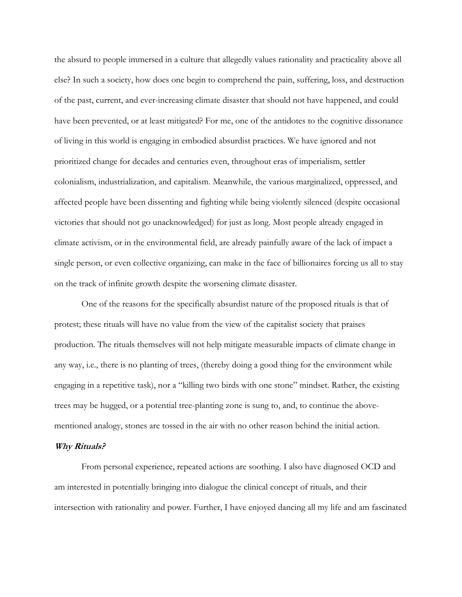the absurd to people immersed in a culture that allegedly values rationality and practicality above all else? In such a society, how does one begin to comprehend the pain, suffering, loss, and destruction of the past, current, and ever-increasing climate disaster that should not have happened, and could have been prevented, or at least mitigated? For me, one of the antidotes to the cognitive dissonance of living in this world is engaging in embodied absurdist practices. We have ignored and not prioritized change for decades and centuries even, throughout eras of imperialism, settler colonialism, industrialization, and capitalism. Meanwhile, the various marginalized, oppressed, and affected people have been dissenting and fighting while being violently silenced (despite occasional victories that should not go unacknowledged) for just as long. Most people already engaged in climate activism, or in the environmental field, are already painfully aware of the lack of impact a single person, or even collective organizing, can make in the face of billionaires forcing us all to stay on the track of infinite growth despite the worsening climate disaster.

One of the reasons for the specifically absurdist nature of the proposed rituals is that of protest; these rituals will have no value from the view of the capitalist society that praises production. The rituals themselves will not help mitigate measurable impacts of climate change in any way, i.e., there is no planting of trees, (thereby doing a good thing for the environment while engaging in a repetitive task), nor a "killing two birds with one stone" mindset. Rather, the existing trees may be hugged, or a potential tree-planting zone is sung to, and, to continue the abovementioned analogy, stones are tossed in the air with no other reason behind the initial action.

### **Why Rituals?**

From personal experience, repeated actions are soothing. I also have diagnosed OCD and am interested in potentially bringing into dialogue the clinical concept of rituals, and their intersection with rationality and power. Further, I have enjoyed dancing all my life and am fascinated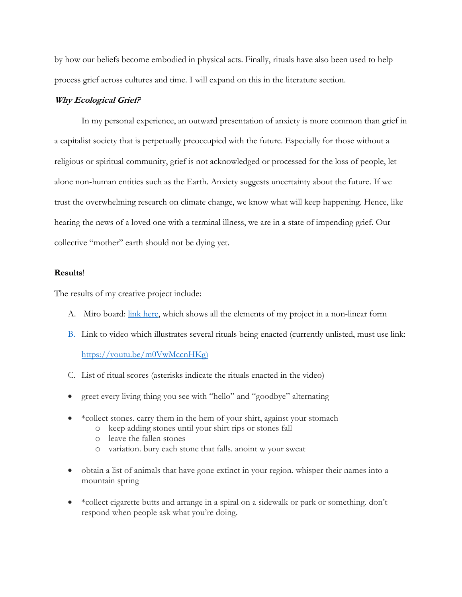by how our beliefs become embodied in physical acts. Finally, rituals have also been used to help process grief across cultures and time. I will expand on this in the literature section.

## **Why Ecological Grief?**

In my personal experience, an outward presentation of anxiety is more common than grief in a capitalist society that is perpetually preoccupied with the future. Especially for those without a religious or spiritual community, grief is not acknowledged or processed for the loss of people, let alone non-human entities such as the Earth. Anxiety suggests uncertainty about the future. If we trust the overwhelming research on climate change, we know what will keep happening. Hence, like hearing the news of a loved one with a terminal illness, we are in a state of impending grief. Our collective "mother" earth should not be dying yet.

## **Results**!

The results of my creative project include:

- A. Miro board: link here, which shows all the elements of my project in a non-linear form
- B. Link to video which illustrates several rituals being enacted (currently unlisted, must use link:

#### https://youtu.be/m0VwMccnHKg)

- C. List of ritual scores (asterisks indicate the rituals enacted in the video)
- greet every living thing you see with "hello" and "goodbye" alternating
- \*collect stones. carry them in the hem of your shirt, against your stomach
	- o keep adding stones until your shirt rips or stones fall
	- o leave the fallen stones
	- o variation. bury each stone that falls. anoint w your sweat
- obtain a list of animals that have gone extinct in your region. whisper their names into a mountain spring
- \*collect cigarette butts and arrange in a spiral on a sidewalk or park or something. don't respond when people ask what you're doing.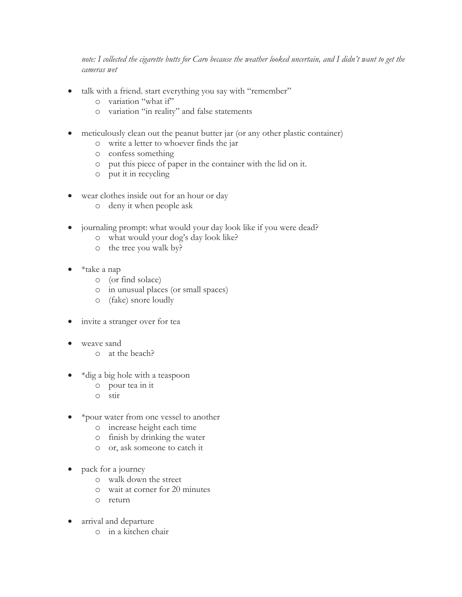*note: I collected the cigarette butts for Caro because the weather looked uncertain, and I didn't want to get the cameras wet*

- talk with a friend. start everything you say with "remember"
	- o variation "what if"
	- o variation "in reality" and false statements
- meticulously clean out the peanut butter jar (or any other plastic container)
	- o write a letter to whoever finds the jar
	- o confess something
	- o put this piece of paper in the container with the lid on it.
	- o put it in recycling
- wear clothes inside out for an hour or day
	- o deny it when people ask
- journaling prompt: what would your day look like if you were dead?
	- o what would your dog's day look like?
	- o the tree you walk by?
- \*take a nap
	- o (or find solace)
	- o in unusual places (or small spaces)
	- o (fake) snore loudly
- invite a stranger over for tea
- weave sand
	- o at the beach?
- \*dig a big hole with a teaspoon
	- o pour tea in it
	- o stir
- \*pour water from one vessel to another
	- o increase height each time
	- o finish by drinking the water
	- o or, ask someone to catch it
- pack for a journey
	- o walk down the street
	- o wait at corner for 20 minutes
	- o return
- arrival and departure
	- o in a kitchen chair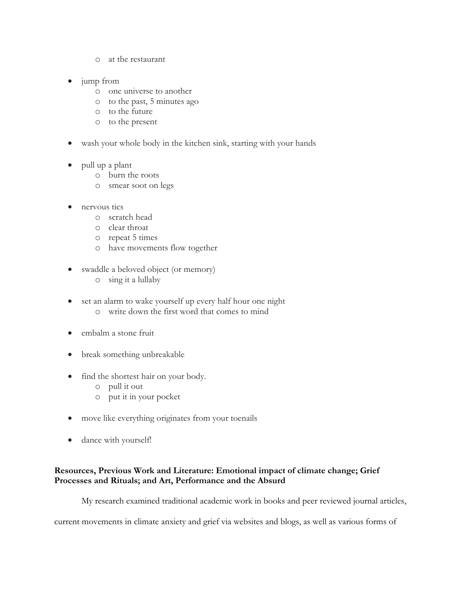- o at the restaurant
- jump from
	- o one universe to another
	- o to the past, 5 minutes ago
	- o to the future
	- o to the present
- wash your whole body in the kitchen sink, starting with your hands
- pull up a plant
	- o burn the roots
	- o smear soot on legs
- nervous tics
	- o scratch head
	- o clear throat
	- o repeat 5 times
	- o have movements flow together
- swaddle a beloved object (or memory)
	- o sing it a lullaby
- set an alarm to wake yourself up every half hour one night o write down the first word that comes to mind
- embalm a stone fruit
- break something unbreakable
- find the shortest hair on your body.
	- o pull it out
	- o put it in your pocket
- move like everything originates from your toenails
- dance with yourself!

## **Resources, Previous Work and Literature: Emotional impact of climate change; Grief Processes and Rituals; and Art, Performance and the Absurd**

My research examined traditional academic work in books and peer reviewed journal articles,

current movements in climate anxiety and grief via websites and blogs, as well as various forms of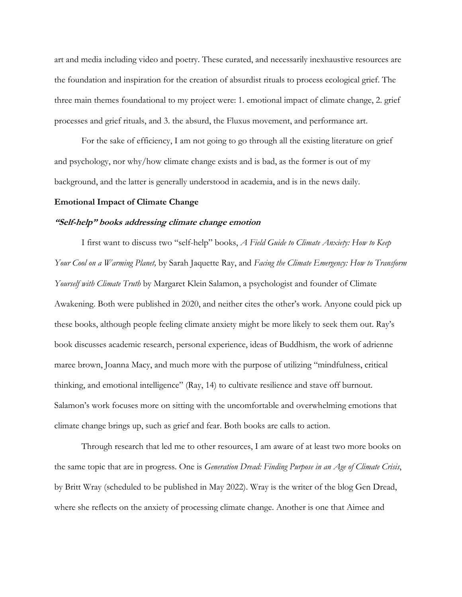art and media including video and poetry. These curated, and necessarily inexhaustive resources are the foundation and inspiration for the creation of absurdist rituals to process ecological grief. The three main themes foundational to my project were: 1. emotional impact of climate change, 2. grief processes and grief rituals, and 3. the absurd, the Fluxus movement, and performance art.

For the sake of efficiency, I am not going to go through all the existing literature on grief and psychology, nor why/how climate change exists and is bad, as the former is out of my background, and the latter is generally understood in academia, and is in the news daily.

#### **Emotional Impact of Climate Change**

#### **"Self-help" books addressing climate change emotion**

I first want to discuss two "self-help" books, *A Field Guide to Climate Anxiety: How to Keep Your Cool on a Warming Planet,* by Sarah Jaquette Ray, and *Facing the Climate Emergency: How to Transform Yourself with Climate Truth* by Margaret Klein Salamon, a psychologist and founder of Climate Awakening. Both were published in 2020, and neither cites the other's work. Anyone could pick up these books, although people feeling climate anxiety might be more likely to seek them out. Ray's book discusses academic research, personal experience, ideas of Buddhism, the work of adrienne maree brown, Joanna Macy, and much more with the purpose of utilizing "mindfulness, critical thinking, and emotional intelligence" (Ray, 14) to cultivate resilience and stave off burnout. Salamon's work focuses more on sitting with the uncomfortable and overwhelming emotions that climate change brings up, such as grief and fear. Both books are calls to action.

Through research that led me to other resources, I am aware of at least two more books on the same topic that are in progress. One is *Generation Dread: Finding Purpose in an Age of Climate Crisis*, by Britt Wray (scheduled to be published in May 2022). Wray is the writer of the blog Gen Dread, where she reflects on the anxiety of processing climate change. Another is one that Aimee and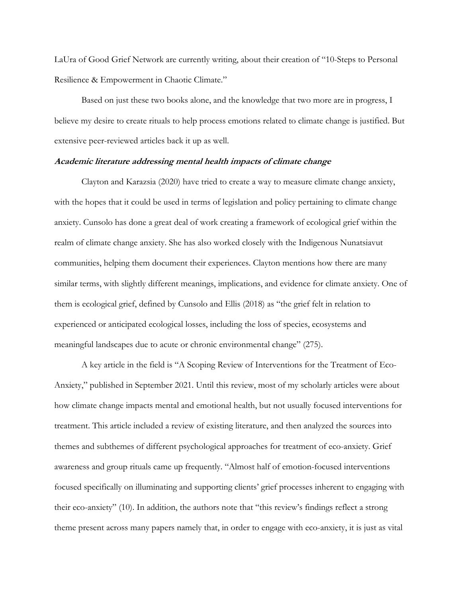LaUra of Good Grief Network are currently writing, about their creation of "10-Steps to Personal Resilience & Empowerment in Chaotic Climate."

Based on just these two books alone, and the knowledge that two more are in progress, I believe my desire to create rituals to help process emotions related to climate change is justified. But extensive peer-reviewed articles back it up as well.

#### **Academic literature addressing mental health impacts of climate change**

Clayton and Karazsia (2020) have tried to create a way to measure climate change anxiety, with the hopes that it could be used in terms of legislation and policy pertaining to climate change anxiety. Cunsolo has done a great deal of work creating a framework of ecological grief within the realm of climate change anxiety. She has also worked closely with the Indigenous Nunatsiavut communities, helping them document their experiences. Clayton mentions how there are many similar terms, with slightly different meanings, implications, and evidence for climate anxiety. One of them is ecological grief, defined by Cunsolo and Ellis (2018) as "the grief felt in relation to experienced or anticipated ecological losses, including the loss of species, ecosystems and meaningful landscapes due to acute or chronic environmental change" (275).

A key article in the field is "A Scoping Review of Interventions for the Treatment of Eco-Anxiety," published in September 2021. Until this review, most of my scholarly articles were about how climate change impacts mental and emotional health, but not usually focused interventions for treatment. This article included a review of existing literature, and then analyzed the sources into themes and subthemes of different psychological approaches for treatment of eco-anxiety. Grief awareness and group rituals came up frequently. "Almost half of emotion-focused interventions focused specifically on illuminating and supporting clients' grief processes inherent to engaging with their eco-anxiety" (10). In addition, the authors note that "this review's findings reflect a strong theme present across many papers namely that, in order to engage with eco-anxiety, it is just as vital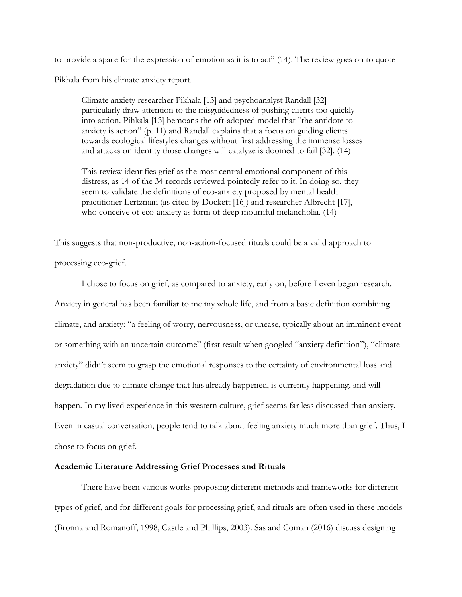to provide a space for the expression of emotion as it is to act" (14). The review goes on to quote Pikhala from his climate anxiety report.

Climate anxiety researcher Pikhala [13] and psychoanalyst Randall [32] particularly draw attention to the misguidedness of pushing clients too quickly into action. Pihkala [13] bemoans the oft-adopted model that "the antidote to anxiety is action" (p. 11) and Randall explains that a focus on guiding clients towards ecological lifestyles changes without first addressing the immense losses and attacks on identity those changes will catalyze is doomed to fail [32]. (14)

This review identifies grief as the most central emotional component of this distress, as 14 of the 34 records reviewed pointedly refer to it. In doing so, they seem to validate the definitions of eco-anxiety proposed by mental health practitioner Lertzman (as cited by Dockett [16]) and researcher Albrecht [17], who conceive of eco-anxiety as form of deep mournful melancholia. (14)

This suggests that non-productive, non-action-focused rituals could be a valid approach to

processing eco-grief.

I chose to focus on grief, as compared to anxiety, early on, before I even began research. Anxiety in general has been familiar to me my whole life, and from a basic definition combining climate, and anxiety: "a feeling of worry, nervousness, or unease, typically about an imminent event or something with an uncertain outcome" (first result when googled "anxiety definition"), "climate anxiety" didn't seem to grasp the emotional responses to the certainty of environmental loss and degradation due to climate change that has already happened, is currently happening, and will happen. In my lived experience in this western culture, grief seems far less discussed than anxiety. Even in casual conversation, people tend to talk about feeling anxiety much more than grief. Thus, I chose to focus on grief.

### **Academic Literature Addressing Grief Processes and Rituals**

There have been various works proposing different methods and frameworks for different types of grief, and for different goals for processing grief, and rituals are often used in these models (Bronna and Romanoff, 1998, Castle and Phillips, 2003). Sas and Coman (2016) discuss designing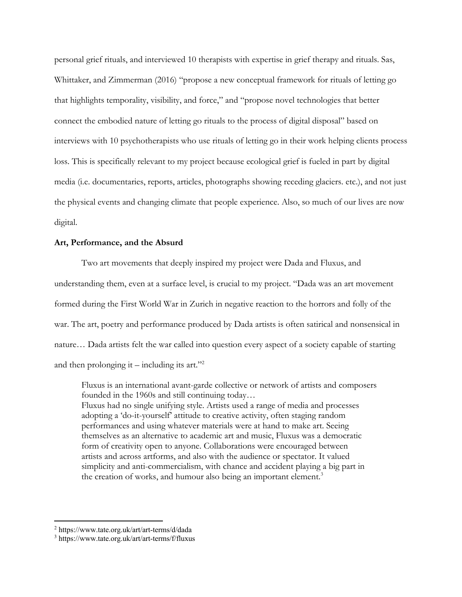personal grief rituals, and interviewed 10 therapists with expertise in grief therapy and rituals. Sas, Whittaker, and Zimmerman (2016) "propose a new conceptual framework for rituals of letting go that highlights temporality, visibility, and force," and "propose novel technologies that better connect the embodied nature of letting go rituals to the process of digital disposal" based on interviews with 10 psychotherapists who use rituals of letting go in their work helping clients process loss. This is specifically relevant to my project because ecological grief is fueled in part by digital media (i.e. documentaries, reports, articles, photographs showing receding glaciers. etc.), and not just the physical events and changing climate that people experience. Also, so much of our lives are now digital.

### **Art, Performance, and the Absurd**

Two art movements that deeply inspired my project were Dada and Fluxus, and understanding them, even at a surface level, is crucial to my project. "Dada was an art movement formed during the First World War in Zurich in negative reaction to the horrors and folly of the war. The art, poetry and performance produced by Dada artists is often satirical and nonsensical in nature… Dada artists felt the war called into question every aspect of a society capable of starting and then prolonging it – including its art."<sup>2</sup>

Fluxus is an international avant-garde collective or network of artists and composers founded in the 1960s and still continuing today… Fluxus had no single unifying style. Artists used a range of media and processes adopting a 'do-it-yourself' attitude to creative activity, often staging random performances and using whatever materials were at hand to make art. Seeing themselves as an alternative to academic art and music, Fluxus was a democratic form of creativity open to anyone. Collaborations were encouraged between artists and across artforms, and also with the audience or spectator. It valued simplicity and anti-commercialism, with chance and accident playing a big part in the creation of works, and humour also being an important element.<sup>3</sup>

<sup>2</sup> https://www.tate.org.uk/art/art-terms/d/dada

<sup>3</sup> https://www.tate.org.uk/art/art-terms/f/fluxus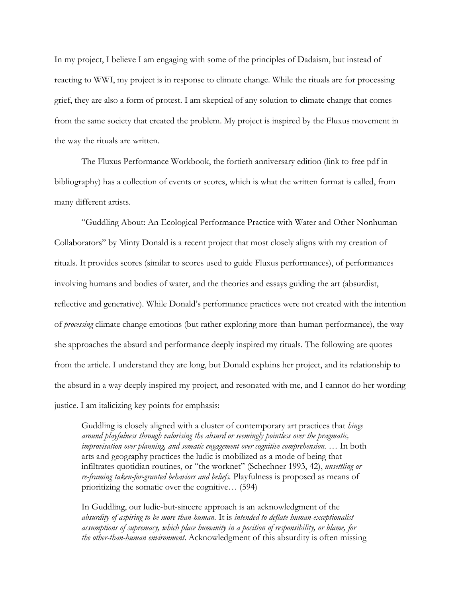In my project, I believe I am engaging with some of the principles of Dadaism, but instead of reacting to WWI, my project is in response to climate change. While the rituals are for processing grief, they are also a form of protest. I am skeptical of any solution to climate change that comes from the same society that created the problem. My project is inspired by the Fluxus movement in the way the rituals are written.

The Fluxus Performance Workbook, the fortieth anniversary edition (link to free pdf in bibliography) has a collection of events or scores, which is what the written format is called, from many different artists.

"Guddling About: An Ecological Performance Practice with Water and Other Nonhuman Collaborators" by Minty Donald is a recent project that most closely aligns with my creation of rituals. It provides scores (similar to scores used to guide Fluxus performances), of performances involving humans and bodies of water, and the theories and essays guiding the art (absurdist, reflective and generative). While Donald's performance practices were not created with the intention of *processing* climate change emotions (but rather exploring more-than-human performance), the way she approaches the absurd and performance deeply inspired my rituals. The following are quotes from the article. I understand they are long, but Donald explains her project, and its relationship to the absurd in a way deeply inspired my project, and resonated with me, and I cannot do her wording justice. I am italicizing key points for emphasis:

Guddling is closely aligned with a cluster of contemporary art practices that *hinge around playfulness through valorising the absurd or seemingly pointless over the pragmatic, improvisation over planning, and somatic engagement over cognitive comprehension.* … In both arts and geography practices the ludic is mobilized as a mode of being that infiltrates quotidian routines, or "the worknet" (Schechner 1993, 42), *unsettling or re-framing taken-for-granted behaviors and beliefs.* Playfulness is proposed as means of prioritizing the somatic over the cognitive… (594)

In Guddling, our ludic-but-sincere approach is an acknowledgment of the *absurdity of aspiring to be more than-human.* It is *intended to deflate human-exceptionalist assumptions of supremacy, which place humanity in a position of responsibility, or blame, for the other-than-human environment*. Acknowledgment of this absurdity is often missing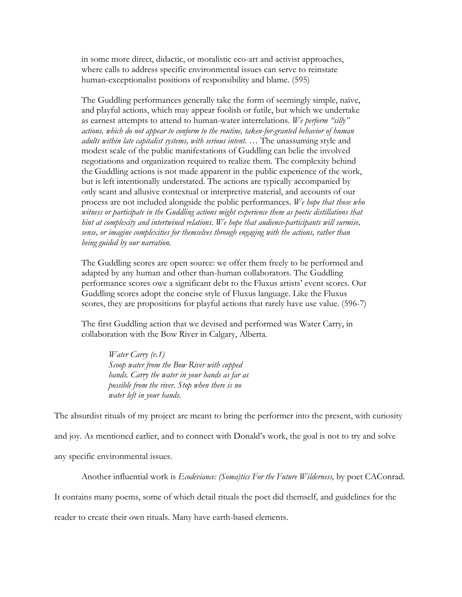in some more direct, didactic, or moralistic eco-art and activist approaches, where calls to address specific environmental issues can serve to reinstate human-exceptionalist positions of responsibility and blame. (595)

The Guddling performances generally take the form of seemingly simple, naïve, and playful actions, which may appear foolish or futile, but which we undertake as earnest attempts to attend to human-water interrelations. *We perform "silly" actions, which do not appear to conform to the routine, taken-for-granted behavior of human adults within late capitalist systems, with serious intent*. … The unassuming style and modest scale of the public manifestations of Guddling can belie the involved negotiations and organization required to realize them. The complexity behind the Guddling actions is not made apparent in the public experience of the work, but is left intentionally understated. The actions are typically accompanied by only scant and allusive contextual or interpretive material, and accounts of our process are not included alongside the public performances. *We hope that those who*  witness or participate in the Guddling actions might experience them as poetic distillations that *hint at complexity and intertwined relations. We hope that audience-participants will surmise, sense, or imagine complexities for themselves through engaging with the actions, rather than being guided by our narration.*

The Guddling scores are open source: we offer them freely to be performed and adapted by any human and other than-human collaborators. The Guddling performance scores owe a significant debt to the Fluxus artists' event scores. Our Guddling scores adopt the concise style of Fluxus language. Like the Fluxus scores, they are propositions for playful actions that rarely have use value. (596-7)

The first Guddling action that we devised and performed was Water Carry, in collaboration with the Bow River in Calgary, Alberta.

*Water Carry (v.1) Scoop water from the Bow River with cupped hands. Carry the water in your hands as far as possible from the river. Stop when there is no water left in your hands.*

The absurdist rituals of my project are meant to bring the performer into the present, with curiosity and joy. As mentioned earlier, and to connect with Donald's work, the goal is not to try and solve any specific environmental issues.

Another influential work is *Ecodeviance: (Soma)tics For the Future Wilderness,* by poet CAConrad. It contains many poems, some of which detail rituals the poet did themself, and guidelines for the reader to create their own rituals. Many have earth-based elements.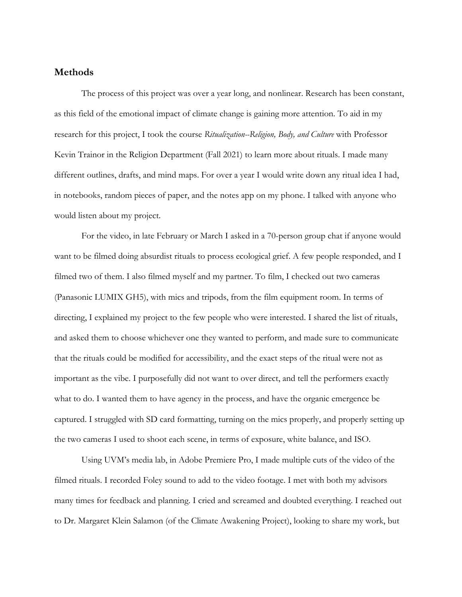## **Methods**

The process of this project was over a year long, and nonlinear. Research has been constant, as this field of the emotional impact of climate change is gaining more attention. To aid in my research for this project, I took the course *Ritualization--Religion, Body, and Culture* with Professor Kevin Trainor in the Religion Department (Fall 2021) to learn more about rituals. I made many different outlines, drafts, and mind maps. For over a year I would write down any ritual idea I had, in notebooks, random pieces of paper, and the notes app on my phone. I talked with anyone who would listen about my project.

For the video, in late February or March I asked in a 70-person group chat if anyone would want to be filmed doing absurdist rituals to process ecological grief. A few people responded, and I filmed two of them. I also filmed myself and my partner. To film, I checked out two cameras (Panasonic LUMIX GH5), with mics and tripods, from the film equipment room. In terms of directing, I explained my project to the few people who were interested. I shared the list of rituals, and asked them to choose whichever one they wanted to perform, and made sure to communicate that the rituals could be modified for accessibility, and the exact steps of the ritual were not as important as the vibe. I purposefully did not want to over direct, and tell the performers exactly what to do. I wanted them to have agency in the process, and have the organic emergence be captured. I struggled with SD card formatting, turning on the mics properly, and properly setting up the two cameras I used to shoot each scene, in terms of exposure, white balance, and ISO.

Using UVM's media lab, in Adobe Premiere Pro, I made multiple cuts of the video of the filmed rituals. I recorded Foley sound to add to the video footage. I met with both my advisors many times for feedback and planning. I cried and screamed and doubted everything. I reached out to Dr. Margaret Klein Salamon (of the Climate Awakening Project), looking to share my work, but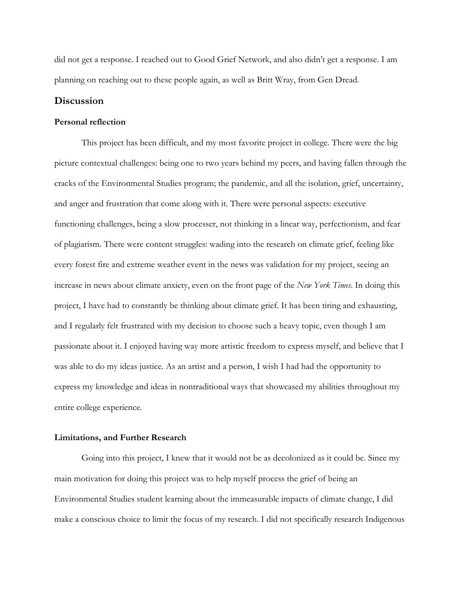did not get a response. I reached out to Good Grief Network, and also didn't get a response. I am planning on reaching out to these people again, as well as Britt Wray, from Gen Dread.

## **Discussion**

## **Personal reflection**

This project has been difficult, and my most favorite project in college. There were the big picture contextual challenges: being one to two years behind my peers, and having fallen through the cracks of the Environmental Studies program; the pandemic, and all the isolation, grief, uncertainty, and anger and frustration that come along with it. There were personal aspects: executive functioning challenges, being a slow processer, not thinking in a linear way, perfectionism, and fear of plagiarism. There were content struggles: wading into the research on climate grief, feeling like every forest fire and extreme weather event in the news was validation for my project, seeing an increase in news about climate anxiety, even on the front page of the *New York Times*. In doing this project, I have had to constantly be thinking about climate grief. It has been tiring and exhausting, and I regularly felt frustrated with my decision to choose such a heavy topic, even though I am passionate about it. I enjoyed having way more artistic freedom to express myself, and believe that I was able to do my ideas justice. As an artist and a person, I wish I had had the opportunity to express my knowledge and ideas in nontraditional ways that showcased my abilities throughout my entire college experience.

#### **Limitations, and Further Research**

Going into this project, I knew that it would not be as decolonized as it could be. Since my main motivation for doing this project was to help myself process the grief of being an Environmental Studies student learning about the immeasurable impacts of climate change, I did make a conscious choice to limit the focus of my research. I did not specifically research Indigenous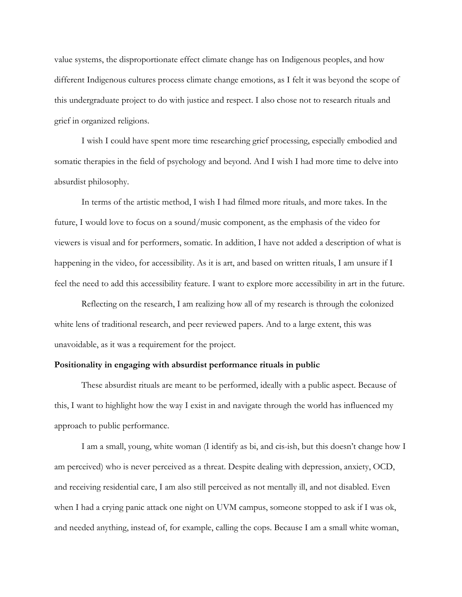value systems, the disproportionate effect climate change has on Indigenous peoples, and how different Indigenous cultures process climate change emotions, as I felt it was beyond the scope of this undergraduate project to do with justice and respect. I also chose not to research rituals and grief in organized religions.

I wish I could have spent more time researching grief processing, especially embodied and somatic therapies in the field of psychology and beyond. And I wish I had more time to delve into absurdist philosophy.

In terms of the artistic method, I wish I had filmed more rituals, and more takes. In the future, I would love to focus on a sound/music component, as the emphasis of the video for viewers is visual and for performers, somatic. In addition, I have not added a description of what is happening in the video, for accessibility. As it is art, and based on written rituals, I am unsure if I feel the need to add this accessibility feature. I want to explore more accessibility in art in the future.

Reflecting on the research, I am realizing how all of my research is through the colonized white lens of traditional research, and peer reviewed papers. And to a large extent, this was unavoidable, as it was a requirement for the project.

## **Positionality in engaging with absurdist performance rituals in public**

These absurdist rituals are meant to be performed, ideally with a public aspect. Because of this, I want to highlight how the way I exist in and navigate through the world has influenced my approach to public performance.

I am a small, young, white woman (I identify as bi, and cis-ish, but this doesn't change how I am perceived) who is never perceived as a threat. Despite dealing with depression, anxiety, OCD, and receiving residential care, I am also still perceived as not mentally ill, and not disabled. Even when I had a crying panic attack one night on UVM campus, someone stopped to ask if I was ok, and needed anything, instead of, for example, calling the cops. Because I am a small white woman,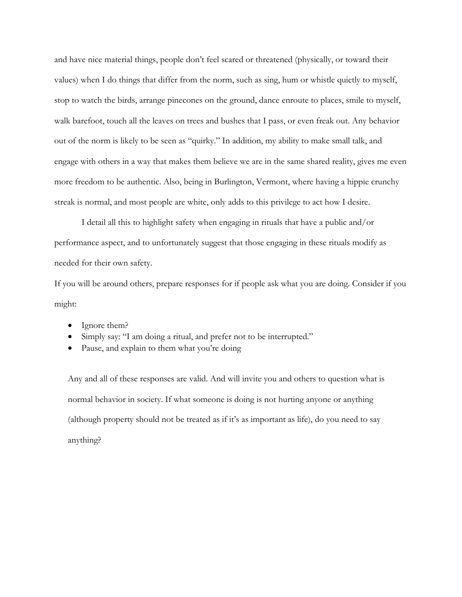and have nice material things, people don't feel scared or threatened (physically, or toward their values) when I do things that differ from the norm, such as sing, hum or whistle quietly to myself, stop to watch the birds, arrange pinecones on the ground, dance enroute to places, smile to myself, walk barefoot, touch all the leaves on trees and bushes that I pass, or even freak out. Any behavior out of the norm is likely to be seen as "quirky." In addition, my ability to make small talk, and engage with others in a way that makes them believe we are in the same shared reality, gives me even more freedom to be authentic. Also, being in Burlington, Vermont, where having a hippie crunchy streak is normal, and most people are white, only adds to this privilege to act how I desire.

I detail all this to highlight safety when engaging in rituals that have a public and/or performance aspect, and to unfortunately suggest that those engaging in these rituals modify as needed for their own safety.

If you will be around others, prepare responses for if people ask what you are doing. Consider if you might:

- Ignore them?
- Simply say: "I am doing a ritual, and prefer not to be interrupted."
- Pause, and explain to them what you're doing

Any and all of these responses are valid. And will invite you and others to question what is normal behavior in society. If what someone is doing is not hurting anyone or anything (although property should not be treated as if it's as important as life), do you need to say anything?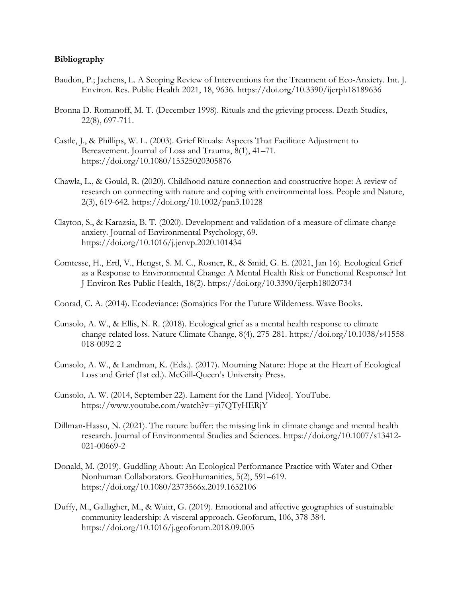## **Bibliography**

- Baudon, P.; Jachens, L. A Scoping Review of Interventions for the Treatment of Eco-Anxiety. Int. J. Environ. Res. Public Health 2021, 18, 9636. https://doi.org/10.3390/ijerph18189636
- Bronna D. Romanoff, M. T. (December 1998). Rituals and the grieving process. Death Studies, 22(8), 697-711.
- Castle, J., & Phillips, W. L. (2003). Grief Rituals: Aspects That Facilitate Adjustment to Bereavement. Journal of Loss and Trauma, 8(1), 41–71. https://doi.org/10.1080/15325020305876
- Chawla, L., & Gould, R. (2020). Childhood nature connection and constructive hope: A review of research on connecting with nature and coping with environmental loss. People and Nature, 2(3), 619-642. https://doi.org/10.1002/pan3.10128
- Clayton, S., & Karazsia, B. T. (2020). Development and validation of a measure of climate change anxiety. Journal of Environmental Psychology, 69. https://doi.org/10.1016/j.jenvp.2020.101434
- Comtesse, H., Ertl, V., Hengst, S. M. C., Rosner, R., & Smid, G. E. (2021, Jan 16). Ecological Grief as a Response to Environmental Change: A Mental Health Risk or Functional Response? Int J Environ Res Public Health, 18(2). https://doi.org/10.3390/ijerph18020734
- Conrad, C. A. (2014). Ecodeviance: (Soma)tics For the Future Wilderness. Wave Books.
- Cunsolo, A. W., & Ellis, N. R. (2018). Ecological grief as a mental health response to climate change-related loss. Nature Climate Change, 8(4), 275-281. https://doi.org/10.1038/s41558- 018-0092-2
- Cunsolo, A. W., & Landman, K. (Eds.). (2017). Mourning Nature: Hope at the Heart of Ecological Loss and Grief (1st ed.). McGill-Queen's University Press.
- Cunsolo, A. W. (2014, September 22). Lament for the Land [Video]. YouTube. https://www.youtube.com/watch?v=yi7QTyHERjY
- Dillman-Hasso, N. (2021). The nature buffer: the missing link in climate change and mental health research. Journal of Environmental Studies and Sciences. https://doi.org/10.1007/s13412- 021-00669-2
- Donald, M. (2019). Guddling About: An Ecological Performance Practice with Water and Other Nonhuman Collaborators. GeoHumanities, 5(2), 591–619. https://doi.org/10.1080/2373566x.2019.1652106
- Duffy, M., Gallagher, M., & Waitt, G. (2019). Emotional and affective geographies of sustainable community leadership: A visceral approach. Geoforum, 106, 378-384. https://doi.org/10.1016/j.geoforum.2018.09.005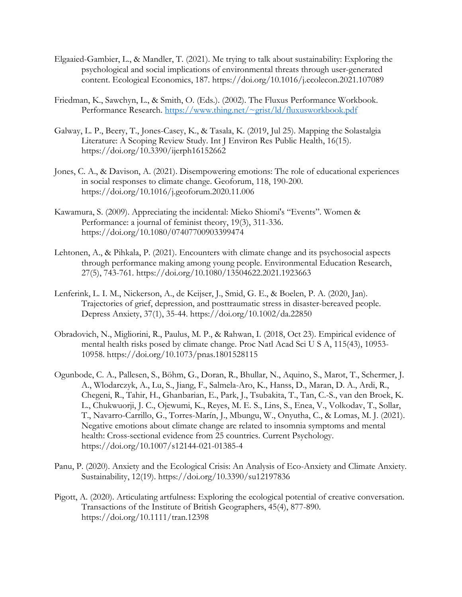- Elgaaied-Gambier, L., & Mandler, T. (2021). Me trying to talk about sustainability: Exploring the psychological and social implications of environmental threats through user-generated content. Ecological Economics, 187. https://doi.org/10.1016/j.ecolecon.2021.107089
- Friedman, K., Sawchyn, L., & Smith, O. (Eds.). (2002). The Fluxus Performance Workbook. Performance Research. https://www.thing.net/~grist/ld/fluxusworkbook.pdf
- Galway, L. P., Beery, T., Jones-Casey, K., & Tasala, K. (2019, Jul 25). Mapping the Solastalgia Literature: A Scoping Review Study. Int J Environ Res Public Health, 16(15). https://doi.org/10.3390/ijerph16152662
- Jones, C. A., & Davison, A. (2021). Disempowering emotions: The role of educational experiences in social responses to climate change. Geoforum, 118, 190-200. https://doi.org/10.1016/j.geoforum.2020.11.006
- Kawamura, S. (2009). Appreciating the incidental: Mieko Shiomi's "Events". Women & Performance: a journal of feminist theory, 19(3), 311-336. https://doi.org/10.1080/07407700903399474
- Lehtonen, A., & Pihkala, P. (2021). Encounters with climate change and its psychosocial aspects through performance making among young people. Environmental Education Research, 27(5), 743-761. https://doi.org/10.1080/13504622.2021.1923663
- Lenferink, L. I. M., Nickerson, A., de Keijser, J., Smid, G. E., & Boelen, P. A. (2020, Jan). Trajectories of grief, depression, and posttraumatic stress in disaster-bereaved people. Depress Anxiety, 37(1), 35-44. https://doi.org/10.1002/da.22850
- Obradovich, N., Migliorini, R., Paulus, M. P., & Rahwan, I. (2018, Oct 23). Empirical evidence of mental health risks posed by climate change. Proc Natl Acad Sci U S A, 115(43), 10953- 10958. https://doi.org/10.1073/pnas.1801528115
- Ogunbode, C. A., Pallesen, S., Böhm, G., Doran, R., Bhullar, N., Aquino, S., Marot, T., Schermer, J. A., Wlodarczyk, A., Lu, S., Jiang, F., Salmela-Aro, K., Hanss, D., Maran, D. A., Ardi, R., Chegeni, R., Tahir, H., Ghanbarian, E., Park, J., Tsubakita, T., Tan, C.-S., van den Broek, K. L., Chukwuorji, J. C., Ojewumi, K., Reyes, M. E. S., Lins, S., Enea, V., Volkodav, T., Sollar, T., Navarro-Carrillo, G., Torres-Marín, J., Mbungu, W., Onyutha, C., & Lomas, M. J. (2021). Negative emotions about climate change are related to insomnia symptoms and mental health: Cross-sectional evidence from 25 countries. Current Psychology. https://doi.org/10.1007/s12144-021-01385-4
- Panu, P. (2020). Anxiety and the Ecological Crisis: An Analysis of Eco-Anxiety and Climate Anxiety. Sustainability, 12(19). https://doi.org/10.3390/su12197836
- Pigott, A. (2020). Articulating artfulness: Exploring the ecological potential of creative conversation. Transactions of the Institute of British Geographers, 45(4), 877-890. https://doi.org/10.1111/tran.12398